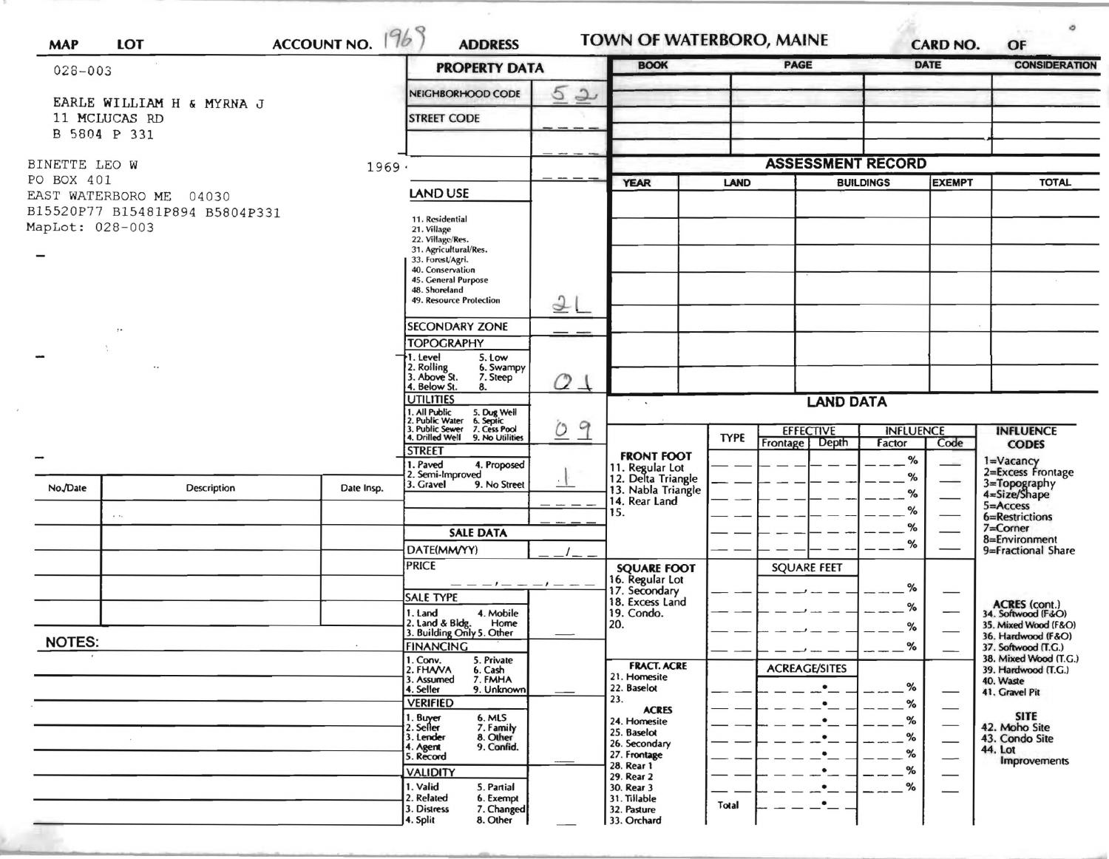| $028 - 003$                 |                                            | <b>PROPERTY DATA</b> | <b>BOOK</b>                                                                                                                                                 |                |                                          | <b>PAGE</b><br><b>DATE</b>        |                          | <b>CONSIDERATION</b> |      |                                              |
|-----------------------------|--------------------------------------------|----------------------|-------------------------------------------------------------------------------------------------------------------------------------------------------------|----------------|------------------------------------------|-----------------------------------|--------------------------|----------------------|------|----------------------------------------------|
|                             |                                            |                      | $\overline{5}$<br>$\rightarrow$<br>NEIGHBORHOOD CODE                                                                                                        |                |                                          |                                   |                          |                      |      |                                              |
|                             | EARLE WILLIAM H & MYRNA J<br>11 MCLUCAS RD |                      | <b>STREET CODE</b>                                                                                                                                          |                |                                          |                                   |                          |                      |      |                                              |
|                             | B 5804 P 331                               |                      |                                                                                                                                                             |                |                                          |                                   |                          |                      |      |                                              |
| BINETTE LEO W               |                                            | 1969.                |                                                                                                                                                             |                |                                          |                                   | <b>ASSESSMENT RECORD</b> |                      |      |                                              |
| PO BOX 401                  |                                            |                      |                                                                                                                                                             | <b>YEAR</b>    |                                          | <b>EXEMPT</b><br><b>BUILDINGS</b> |                          | <b>TOTAL</b>         |      |                                              |
|                             | EAST WATERBORO ME<br>04030                 |                      | LAND USE                                                                                                                                                    |                |                                          |                                   |                          |                      |      |                                              |
| MapLot: 028-003             | B15520P77 B15481P894 B5804P331             |                      | 11. Residential<br>21. Village<br>22. Village/Res.<br>31. Agricultural/Res.<br>33. Forest/Agri.<br>40. Conservation<br>45. General Purpose<br>48. Shoreland |                |                                          |                                   |                          |                      |      |                                              |
|                             |                                            |                      | <b>49. Resource Protection</b>                                                                                                                              | 2 <sub>L</sub> |                                          |                                   |                          |                      |      |                                              |
|                             | $\cdot$                                    |                      | <b>SECONDARY ZONE</b>                                                                                                                                       |                |                                          |                                   |                          |                      |      |                                              |
|                             |                                            |                      | <b>TOPOGRAPHY</b><br>. Level<br>5. Low                                                                                                                      |                |                                          |                                   |                          |                      |      |                                              |
|                             |                                            |                      | 2. Rolling<br>3. Above St.<br>6. Swampy<br>7. Steep<br>4. Below St.<br>8.                                                                                   | 24             |                                          |                                   |                          |                      |      |                                              |
|                             |                                            |                      | <b>UTILITIES</b><br>. All Public<br>. Public Water<br>5. Dug Well<br>6. Septic<br>9<br>$\Omega$<br>. Public Sewer<br>7. Cess Pool                           |                | <b>LAND DATA</b><br>$\sim$               |                                   |                          |                      |      |                                              |
|                             |                                            |                      |                                                                                                                                                             |                |                                          |                                   | <b>EFFECTIVE</b>         | <b>INFLUENCE</b>     |      | <b>INFLUENCE</b>                             |
|                             |                                            |                      | 1. Drilled Well<br>9. No Utilities<br><b>STREET</b>                                                                                                         |                | <b>FRONT FOOT</b>                        | <b>TYPE</b>                       | Frontage<br>Depth        | Factor               | Code | <b>CODES</b>                                 |
|                             |                                            |                      | 1. Paved<br>4. Proposed<br>2. Semi-Improved                                                                                                                 |                | 11. Regular Lot                          |                                   |                          | %<br>%               |      | 1=Vacancy<br>2=Excess Frontage               |
| No./Date                    | <b>Description</b>                         | Date Insp.           | 3. Gravel<br>9. No Street                                                                                                                                   |                | 12. Delta Triangle<br>13. Nabla Triangle |                                   |                          | %                    |      | 3=Topography<br>4=Size/Shape                 |
|                             | $\sim$ $\sim$                              |                      |                                                                                                                                                             |                | 14. Rear Land<br>15.                     |                                   |                          | %                    |      | $5 =$ Access<br>6=Restrictions               |
|                             |                                            |                      | <b>SALE DATA</b>                                                                                                                                            |                |                                          |                                   |                          | %                    |      | $7 =$ Corner                                 |
|                             |                                            |                      | DATE(MM/YY)                                                                                                                                                 |                |                                          |                                   |                          | %                    |      | 8=Environment<br>9=Fractional Share          |
|                             |                                            |                      | <b>PRICE</b>                                                                                                                                                |                | <b>SQUARE FOOT</b>                       |                                   | <b>SQUARE FEET</b>       |                      |      |                                              |
|                             |                                            |                      | <b>SALE TYPE</b>                                                                                                                                            | $-1 - - -$     | 16. Regular Lot<br>17. Secondary         |                                   |                          | %                    |      |                                              |
|                             |                                            |                      | 1. Land<br>4. Mobile                                                                                                                                        |                | 18. Excess Land<br>19. Condo.            |                                   |                          | %                    |      | ACRES (cont.)<br>34. Softwood (F&O)          |
|                             |                                            |                      | 2. Land & Bldg. Home<br>3. Building Only 5. Other<br>Home                                                                                                   |                | 20.                                      |                                   |                          | %                    |      | 35. Mixed Wood (F&O)<br>36. Hardwood (F&O)   |
| <b>NOTES:</b>               |                                            |                      | <b>FINANCING</b>                                                                                                                                            |                |                                          |                                   |                          | %                    |      | 37. Softwood (T.G.)                          |
| $\mathcal{F}_{\mathcal{C}}$ |                                            |                      | 1. Conv.<br>5. Private<br>2. FHAVA<br>6. Cash                                                                                                               |                | <b>FRACT. ACRE</b>                       |                                   | <b>ACREAGE/SITES</b>     |                      |      | 38. Mixed Wood (T.G.)<br>39. Hardwood (T.G.) |
|                             |                                            |                      | 3. Assumed<br>7. FMHA<br>4. Seller<br>9. Unknown                                                                                                            |                | 21. Homesite<br>22. Baselot              |                                   |                          | %                    |      | 40. Waste<br>41. Gravel Pit                  |
|                             |                                            |                      | <b>VERIFIED</b>                                                                                                                                             |                | 23.<br><b>ACRES</b>                      |                                   |                          | %                    |      |                                              |
|                             |                                            |                      | 1. Buyer<br>2. Seller<br>6. MLS<br>7. Family                                                                                                                |                | 24. Homesite                             |                                   |                          | %                    |      | <b>SITE</b><br>42. Moho Site                 |
|                             | $\sim$                                     |                      | 3. Lender<br>8. Other<br>9. Confid.                                                                                                                         |                | 25. Baselot<br>26. Secondary             |                                   |                          | %                    |      | 43. Condo Site                               |
|                             |                                            |                      | 4. Agent<br>5. Record                                                                                                                                       |                | 27. Frontage                             |                                   |                          | %                    |      | 44. Lot<br><b>Improvements</b>               |
|                             |                                            |                      | <b>VALIDITY</b>                                                                                                                                             |                | 28. Rear 1<br>29. Rear 2                 |                                   |                          | %                    |      |                                              |
|                             |                                            |                      | 1. Valid<br>5. Partial<br>2. Related<br>6. Exempt                                                                                                           |                | 30. Rear 3<br>31. Tillable               |                                   |                          | %                    |      |                                              |
|                             |                                            |                      |                                                                                                                                                             |                |                                          | Total                             | $\bullet$                |                      |      |                                              |

 $\tau$